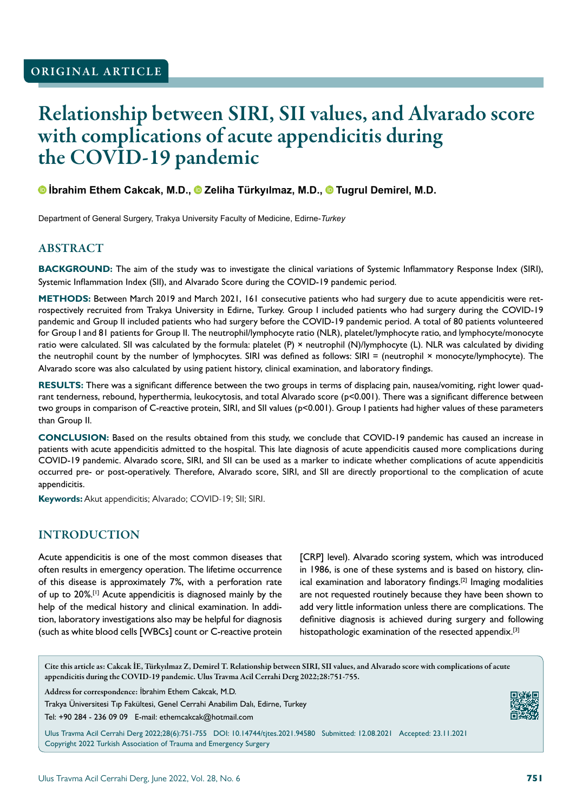# Relationship between SIRI, SII values, and Alvarado score with complications of acute appendicitis during the COVID-19 pandemic

**İbrahim Ethem Cakcak, M.D.,Zeliha Türkyılmaz, M.D.,Tugrul Demirel, M.D.**

Department of General Surgery, Trakya University Faculty of Medicine, Edirne-*Turkey*

#### ABSTRACT

**BACKGROUND:** The aim of the study was to investigate the clinical variations of Systemic Inflammatory Response Index (SIRI), Systemic Inflammation Index (SII), and Alvarado Score during the COVID-19 pandemic period.

**METHODS:** Between March 2019 and March 2021, 161 consecutive patients who had surgery due to acute appendicitis were retrospectively recruited from Trakya University in Edirne, Turkey. Group I included patients who had surgery during the COVID-19 pandemic and Group II included patients who had surgery before the COVID-19 pandemic period. A total of 80 patients volunteered for Group I and 81 patients for Group II. The neutrophil/lymphocyte ratio (NLR), platelet/lymphocyte ratio, and lymphocyte/monocyte ratio were calculated. SII was calculated by the formula: platelet (P) × neutrophil (N)/lymphocyte (L). NLR was calculated by dividing the neutrophil count by the number of lymphocytes. SIRI was defined as follows: SIRI = (neutrophil × monocyte/lymphocyte). The Alvarado score was also calculated by using patient history, clinical examination, and laboratory findings.

**RESULTS:** There was a significant difference between the two groups in terms of displacing pain, nausea/vomiting, right lower quadrant tenderness, rebound, hyperthermia, leukocytosis, and total Alvarado score (p<0.001). There was a significant difference between two groups in comparison of C-reactive protein, SIRI, and SII values (p<0.001). Group I patients had higher values of these parameters than Group II.

**CONCLUSION:** Based on the results obtained from this study, we conclude that COVID-19 pandemic has caused an increase in patients with acute appendicitis admitted to the hospital. This late diagnosis of acute appendicitis caused more complications during COVID-19 pandemic. Alvarado score, SIRI, and SII can be used as a marker to indicate whether complications of acute appendicitis occurred pre- or post-operatively. Therefore, Alvarado score, SIRI, and SII are directly proportional to the complication of acute appendicitis.

**Keywords:** Akut appendicitis; Alvarado; COVID-19; SII; SIRI.

#### INTRODUCTION

Acute appendicitis is one of the most common diseases that often results in emergency operation. The lifetime occurrence of this disease is approximately 7%, with a perforation rate of up to 20%.[1] Acute appendicitis is diagnosed mainly by the help of the medical history and clinical examination. In addition, laboratory investigations also may be helpful for diagnosis (such as white blood cells [WBCs] count or C-reactive protein [CRP] level). Alvarado scoring system, which was introduced in 1986, is one of these systems and is based on history, clinical examination and laboratory findings.[2] Imaging modalities are not requested routinely because they have been shown to add very little information unless there are complications. The definitive diagnosis is achieved during surgery and following histopathologic examination of the resected appendix.<sup>[3]</sup>

Cite this article as: Cakcak İE, Türkyılmaz Z, Demirel T. Relationship between SIRI, SII values, and Alvarado score with complications of acute appendicitis during the COVID-19 pandemic. Ulus Travma Acil Cerrahi Derg 2022;28:751-755.

Address for correspondence: İbrahim Ethem Cakcak, M.D.

Trakya Üniversitesi Tıp Fakültesi, Genel Cerrahi Anabilim Dalı, Edirne, Turkey

Tel: +90 284 - 236 09 09 E-mail: ethemcakcak@hotmail.com

Ulus Travma Acil Cerrahi Derg 2022;28(6):751-755 DOI: 10.14744/tjtes.2021.94580 Submitted: 12.08.2021 Accepted: 23.11.2021 Copyright 2022 Turkish Association of Trauma and Emergency Surgery

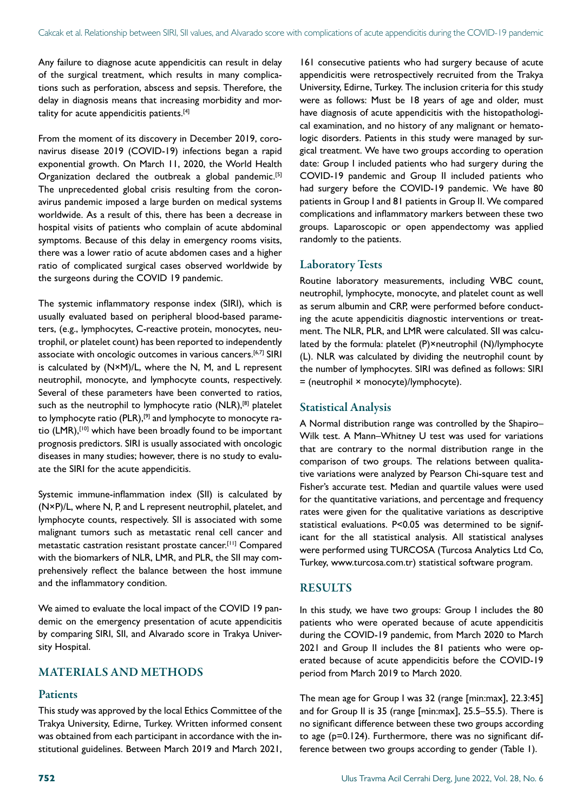Any failure to diagnose acute appendicitis can result in delay of the surgical treatment, which results in many complications such as perforation, abscess and sepsis. Therefore, the delay in diagnosis means that increasing morbidity and mortality for acute appendicitis patients.<sup>[4]</sup>

From the moment of its discovery in December 2019, coronavirus disease 2019 (COVID-19) infections began a rapid exponential growth. On March 11, 2020, the World Health Organization declared the outbreak a global pandemic.<sup>[5]</sup> The unprecedented global crisis resulting from the coronavirus pandemic imposed a large burden on medical systems worldwide. As a result of this, there has been a decrease in hospital visits of patients who complain of acute abdominal symptoms. Because of this delay in emergency rooms visits, there was a lower ratio of acute abdomen cases and a higher ratio of complicated surgical cases observed worldwide by the surgeons during the COVID 19 pandemic.

The systemic inflammatory response index (SIRI), which is usually evaluated based on peripheral blood-based parameters, (e.g., lymphocytes, C-reactive protein, monocytes, neutrophil, or platelet count) has been reported to independently associate with oncologic outcomes in various cancers.<sup>[6,7]</sup> SIRI is calculated by (N×M)/L, where the N, M, and L represent neutrophil, monocyte, and lymphocyte counts, respectively. Several of these parameters have been converted to ratios, such as the neutrophil to lymphocyte ratio (NLR),<sup>[8]</sup> platelet to lymphocyte ratio  $(PLR),$ <sup>[9]</sup> and lymphocyte to monocyte ratio (LMR), [10] which have been broadly found to be important prognosis predictors. SIRI is usually associated with oncologic diseases in many studies; however, there is no study to evaluate the SIRI for the acute appendicitis.

Systemic immune-inflammation index (SII) is calculated by (N×P)/L, where N, P, and L represent neutrophil, platelet, and lymphocyte counts, respectively. SII is associated with some malignant tumors such as metastatic renal cell cancer and metastatic castration resistant prostate cancer.[11] Compared with the biomarkers of NLR, LMR, and PLR, the SII may comprehensively reflect the balance between the host immune and the inflammatory condition.

We aimed to evaluate the local impact of the COVID 19 pandemic on the emergency presentation of acute appendicitis by comparing SIRI, SII, and Alvarado score in Trakya University Hospital.

# MATERIALS AND METHODS

#### **Patients**

This study was approved by the local Ethics Committee of the Trakya University, Edirne, Turkey. Written informed consent was obtained from each participant in accordance with the institutional guidelines. Between March 2019 and March 2021,

161 consecutive patients who had surgery because of acute appendicitis were retrospectively recruited from the Trakya University, Edirne, Turkey. The inclusion criteria for this study were as follows: Must be 18 years of age and older, must have diagnosis of acute appendicitis with the histopathological examination, and no history of any malignant or hematologic disorders. Patients in this study were managed by surgical treatment. We have two groups according to operation date: Group I included patients who had surgery during the COVID-19 pandemic and Group II included patients who had surgery before the COVID-19 pandemic. We have 80 patients in Group I and 81 patients in Group II. We compared complications and inflammatory markers between these two groups. Laparoscopic or open appendectomy was applied randomly to the patients.

## Laboratory Tests

Routine laboratory measurements, including WBC count, neutrophil, lymphocyte, monocyte, and platelet count as well as serum albumin and CRP, were performed before conducting the acute appendicitis diagnostic interventions or treatment. The NLR, PLR, and LMR were calculated. SII was calculated by the formula: platelet (P)×neutrophil (N)/lymphocyte (L). NLR was calculated by dividing the neutrophil count by the number of lymphocytes. SIRI was defined as follows: SIRI = (neutrophil × monocyte)/lymphocyte).

#### Statistical Analysis

A Normal distribution range was controlled by the Shapiro– Wilk test. A Mann–Whitney U test was used for variations that are contrary to the normal distribution range in the comparison of two groups. The relations between qualitative variations were analyzed by Pearson Chi-square test and Fisher's accurate test. Median and quartile values were used for the quantitative variations, and percentage and frequency rates were given for the qualitative variations as descriptive statistical evaluations. P<0.05 was determined to be significant for the all statistical analysis. All statistical analyses were performed using TURCOSA (Turcosa Analytics Ltd Co, Turkey, www.turcosa.com.tr) statistical software program.

# RESULTS

In this study, we have two groups: Group I includes the 80 patients who were operated because of acute appendicitis during the COVID-19 pandemic, from March 2020 to March 2021 and Group II includes the 81 patients who were operated because of acute appendicitis before the COVID-19 period from March 2019 to March 2020.

The mean age for Group I was 32 (range [min:max], 22.3:45] and for Group II is 35 (range [min:max], 25.5–55.5). There is no significant difference between these two groups according to age (p=0.124). Furthermore, there was no significant difference between two groups according to gender (Table 1).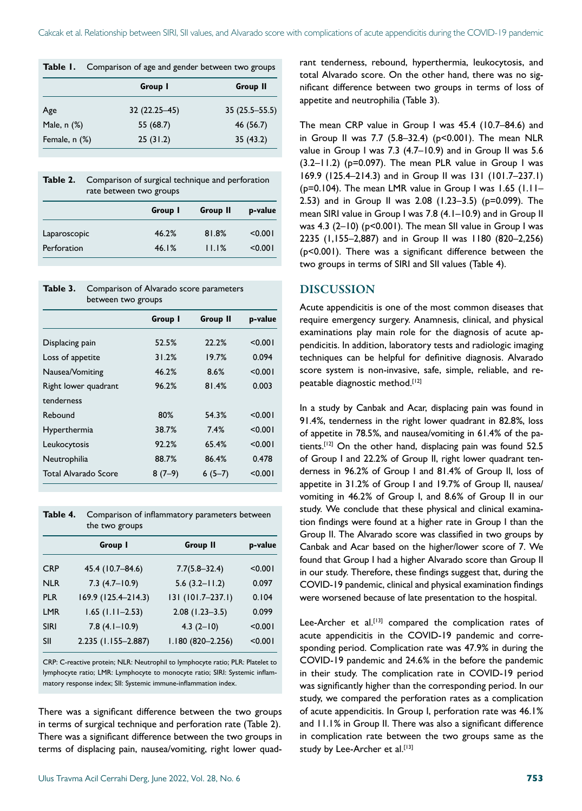| <b>Table 1.</b> Comparison of age and gender between two groups |          |  |
|-----------------------------------------------------------------|----------|--|
| Group I                                                         | Group II |  |

| Age              | $32(22.25 - 45)$ | $35(25.5 - 55.5)$ |
|------------------|------------------|-------------------|
| Male, $n$ $(\%)$ | 55 (68.7)        | 46 (56.7)         |
| Female, $n$ $%$  | 25(31.2)         | 35(43.2)          |

| <b>Table 2.</b> Comparison of surgical technique and perforation |
|------------------------------------------------------------------|
| rate between two groups                                          |

|              | Group I | <b>Group II</b> | p-value |
|--------------|---------|-----------------|---------|
| Laparoscopic | 46.2%   | 81.8%           | < 0.001 |
| Perforation  | 46.1%   | 11.1%           | < 0.001 |

| Table 3.             | Comparison of Alvarado score parameters<br>between two groups |                 |         |  |
|----------------------|---------------------------------------------------------------|-----------------|---------|--|
|                      | Group I                                                       | <b>Group II</b> | p-value |  |
| Displacing pain      | 52.5%                                                         | 22.2%           | < 0.001 |  |
| Loss of appetite     | 31.2%                                                         | 19.7%           | 0.094   |  |
| Nausea/Vomiting      | 46.2%                                                         | 8.6%            | < 0.001 |  |
| Right lower quadrant | 96.2%                                                         | 81.4%           | 0.003   |  |
| tenderness           |                                                               |                 |         |  |
| Rebound              | 80%                                                           | 54.3%           | < 0.001 |  |
| Hyperthermia         | 38.7%                                                         | 7.4%            | < 0.001 |  |
| Leukocytosis         | 92.2%                                                         | 65.4%           | < 0.001 |  |
| Neutrophilia         | 88.7%                                                         | 86.4%           | 0.478   |  |
| Total Alvarado Score | $8(7-9)$                                                      | $6(5-7)$        | < 0.001 |  |

| Table 4. Comparison of inflammatory parameters between |
|--------------------------------------------------------|
| the two groups                                         |

|             | Group I             | <b>Group II</b>    | p-value |
|-------------|---------------------|--------------------|---------|
| <b>CRP</b>  | 45.4 (10.7-84.6)    | $7.7(5.8 - 32.4)$  | < 0.001 |
| NI R        | $7.3(4.7 - 10.9)$   | $5.6(3.2 - 11.2)$  | 0.097   |
| PI R        | 169.9 (125.4-214.3) | 131 (101.7-237.1)  | 0.104   |
| I MR        | $1.65$ (1.11-2.53)  | $2.08(1.23 - 3.5)$ | 0.099   |
| <b>SIRI</b> | $7.8(4.1 - 10.9)$   | $4.3(2-10)$        | < 0.001 |
| SII         | 2.235 (1.155-2.887) | 1.180 (820-2.256)  | < 0.001 |
|             |                     |                    |         |

CRP: C-reactive protein; NLR: Neutrophil to lymphocyte ratio; PLR: Platelet to lymphocyte ratio; LMR: Lymphocyte to monocyte ratio; SIRI: Systemic inflammatory response index; SII: Systemic immune-inflammation index.

There was a significant difference between the two groups in terms of surgical technique and perforation rate (Table 2). There was a significant difference between the two groups in terms of displacing pain, nausea/vomiting, right lower quadrant tenderness, rebound, hyperthermia, leukocytosis, and total Alvarado score. On the other hand, there was no significant difference between two groups in terms of loss of appetite and neutrophilia (Table 3).

The mean CRP value in Group I was 45.4 (10.7–84.6) and in Group II was 7.7 (5.8–32.4) (p<0.001). The mean NLR value in Group I was 7.3 (4.7–10.9) and in Group II was 5.6  $(3.2-11.2)$  (p=0.097). The mean PLR value in Group I was 169.9 (125.4–214.3) and in Group II was 131 (101.7–237.1) ( $p=0.104$ ). The mean LMR value in Group I was 1.65 (1.11– 2.53) and in Group II was 2.08 (1.23–3.5) (p=0.099). The mean SIRI value in Group I was 7.8 (4.1–10.9) and in Group II was  $4.3$  (2-10) ( $p$ <0.001). The mean SII value in Group I was 2235 (1,155–2,887) and in Group II was 1180 (820–2,256) (p<0.001). There was a significant difference between the two groups in terms of SIRI and SII values (Table 4).

#### DISCUSSION

Acute appendicitis is one of the most common diseases that require emergency surgery. Anamnesis, clinical, and physical examinations play main role for the diagnosis of acute appendicitis. In addition, laboratory tests and radiologic imaging techniques can be helpful for definitive diagnosis. Alvarado score system is non-invasive, safe, simple, reliable, and repeatable diagnostic method.[12]

In a study by Canbak and Acar, displacing pain was found in 91.4%, tenderness in the right lower quadrant in 82.8%, loss of appetite in 78.5%, and nausea/vomiting in 61.4% of the patients.<sup>[12]</sup> On the other hand, displacing pain was found 52.5 of Group I and 22.2% of Group II, right lower quadrant tenderness in 96.2% of Group I and 81.4% of Group II, loss of appetite in 31.2% of Group I and 19.7% of Group II, nausea/ vomiting in 46.2% of Group I, and 8.6% of Group II in our study. We conclude that these physical and clinical examination findings were found at a higher rate in Group I than the Group II. The Alvarado score was classified in two groups by Canbak and Acar based on the higher/lower score of 7. We found that Group I had a higher Alvarado score than Group II in our study. Therefore, these findings suggest that, during the COVID-19 pandemic, clinical and physical examination findings were worsened because of late presentation to the hospital.

Lee-Archer et al.<sup>[13]</sup> compared the complication rates of acute appendicitis in the COVID-19 pandemic and corresponding period. Complication rate was 47.9% in during the COVID-19 pandemic and 24.6% in the before the pandemic in their study. The complication rate in COVID-19 period was significantly higher than the corresponding period. In our study, we compared the perforation rates as a complication of acute appendicitis. In Group I, perforation rate was 46.1% and 11.1% in Group II. There was also a significant difference in complication rate between the two groups same as the study by Lee-Archer et al.[13]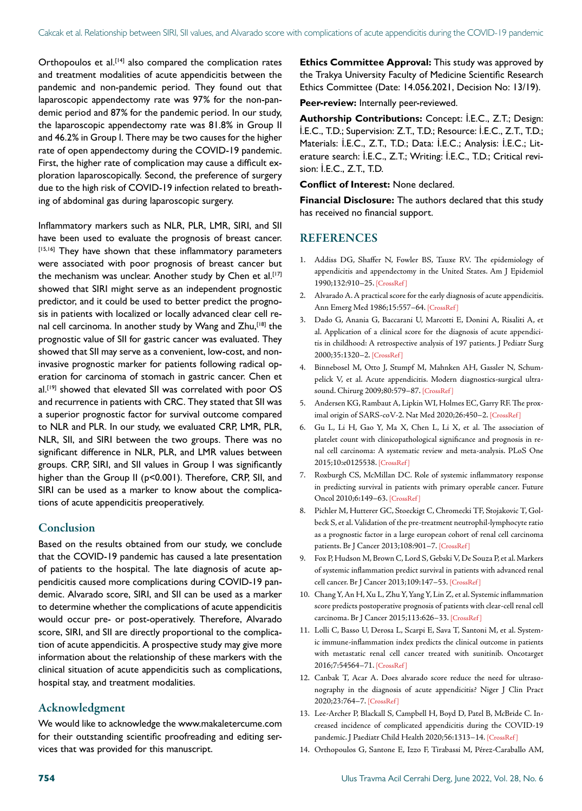Orthopoulos et al.<sup>[14]</sup> also compared the complication rates and treatment modalities of acute appendicitis between the pandemic and non-pandemic period. They found out that laparoscopic appendectomy rate was 97% for the non-pandemic period and 87% for the pandemic period. In our study, the laparoscopic appendectomy rate was 81.8% in Group II and 46.2% in Group I. There may be two causes for the higher rate of open appendectomy during the COVID-19 pandemic. First, the higher rate of complication may cause a difficult exploration laparoscopically. Second, the preference of surgery due to the high risk of COVID-19 infection related to breathing of abdominal gas during laparoscopic surgery.

Inflammatory markers such as NLR, PLR, LMR, SIRI, and SII have been used to evaluate the prognosis of breast cancer. [15,16] They have shown that these inflammatory parameters were associated with poor prognosis of breast cancer but the mechanism was unclear. Another study by Chen et al.<sup>[17]</sup> showed that SIRI might serve as an independent prognostic predictor, and it could be used to better predict the prognosis in patients with localized or locally advanced clear cell renal cell carcinoma. In another study by Wang and Zhu, [18] the prognostic value of SII for gastric cancer was evaluated. They showed that SII may serve as a convenient, low-cost, and noninvasive prognostic marker for patients following radical operation for carcinoma of stomach in gastric cancer. Chen et al.<sup>[19]</sup> showed that elevated SII was correlated with poor OS and recurrence in patients with CRC. They stated that SII was a superior prognostic factor for survival outcome compared to NLR and PLR. In our study, we evaluated CRP, LMR, PLR, NLR, SII, and SIRI between the two groups. There was no significant difference in NLR, PLR, and LMR values between groups. CRP, SIRI, and SII values in Group I was significantly higher than the Group II (p<0.001). Therefore, CRP, SII, and SIRI can be used as a marker to know about the complications of acute appendicitis preoperatively.

# Conclusion

Based on the results obtained from our study, we conclude that the COVID-19 pandemic has caused a late presentation of patients to the hospital. The late diagnosis of acute appendicitis caused more complications during COVID-19 pandemic. Alvarado score, SIRI, and SII can be used as a marker to determine whether the complications of acute appendicitis would occur pre- or post-operatively. Therefore, Alvarado score, SIRI, and SII are directly proportional to the complication of acute appendicitis. A prospective study may give more information about the relationship of these markers with the clinical situation of acute appendicitis such as complications, hospital stay, and treatment modalities.

# Acknowledgment

We would like to acknowledge the www.makaletercume.com for their outstanding scientific proofreading and editing services that was provided for this manuscript.

**Ethics Committee Approval:** This study was approved by the Trakya University Faculty of Medicine Scientific Research Ethics Committee (Date: 14.056.2021, Decision No: 13/19).

**Peer-review:** Internally peer-reviewed.

**Authorship Contributions:** Concept: İ.E.C., Z.T.; Design: İ.E.C., T.D.; Supervision: Z.T., T.D.; Resource: İ.E.C., Z.T., T.D.; Materials: İ.E.C., Z.T., T.D.; Data: İ.E.C.; Analysis: İ.E.C.; Literature search: İ.E.C., Z.T.; Writing: İ.E.C., T.D.; Critical revision: İ.E.C., Z.T., T.D.

**Conflict of Interest:** None declared.

**Financial Disclosure:** The authors declared that this study has received no financial support.

## **REFERENCES**

- 1. Addiss DG, Shaffer N, Fowler BS, Tauxe RV. The epidemiology of appendicitis and appendectomy in the United States. Am J Epidemiol 1990;132:910–25. [\[CrossRef \]](https://doi.org/10.1093/oxfordjournals.aje.a115734)
- 2. Alvarado A. A practical score for the early diagnosis of acute appendicitis. Ann Emerg Med 1986;15:557–6[4. \[CrossRef \]](https://doi.org/10.1016/S0196-0644(86)80993-3)
- 3. Dado G, Anania G, Baccarani U, Marcotti E, Donini A, Risaliti A, et al. Application of a clinical score for the diagnosis of acute appendicitis in childhood: A retrospective analysis of 197 patients. J Pediatr Surg 2000;35:1320–[2. \[CrossRef \]](https://doi.org/10.1053/jpsu.2000.9316)
- 4. Binnebosel M, Otto J, Stumpf M, Mahnken AH, Gassler N, Schumpelick V, et al. Acute appendicitis. Modern diagnostics-surgical ultrasound. Chirurg 2009;80:579–8[7. \[CrossRef \]](https://doi.org/10.1007/s00104-009-1684-1)
- 5. Andersen KG, Rambaut A, Lipkin WI, Holmes EC, Garry RF. The proximal origin of SARS-coV-2. Nat Med 2020;26:450–2[. \[CrossRef \]](https://doi.org/10.1038/s41591-020-0820-9)
- 6. Gu L, Li H, Gao Y, Ma X, Chen L, Li X, et al. The association of platelet count with clinicopathological significance and prognosis in renal cell carcinoma: A systematic review and meta-analysis. PLoS One 2015;10:e0125538. [\[CrossRef \]](https://doi.org/10.1371/journal.pone.0125538)
- 7. Roxburgh CS, McMillan DC. Role of systemic inflammatory response in predicting survival in patients with primary operable cancer. Future Oncol 2010;6:149–6[3. \[CrossRef \]](https://doi.org/10.2217/fon.09.136)
- 8. Pichler M, Hutterer GC, Stoeckigt C, Chromecki TF, Stojakovic T, Golbeck S, et al. Validation of the pre-treatment neutrophil-lymphocyte ratio as a prognostic factor in a large european cohort of renal cell carcinoma patients. Br J Cancer 2013;108:901–7. [\[CrossRef \]](https://doi.org/10.1038/bjc.2013.28)
- 9. Fox P, Hudson M, Brown C, Lord S, Gebski V, De Souza P, et al. Markers of systemic inflammation predict survival in patients with advanced renal cell cancer. Br J Cancer 2013;109:147–5[3. \[CrossRef \]](https://doi.org/10.1038/bjc.2013.300)
- 10. Chang Y, An H, Xu L, Zhu Y, Yang Y, Lin Z, et al. Systemic inflammation score predicts postoperative prognosis of patients with clear-cell renal cell carcinoma. Br J Cancer 2015;113:626–33[. \[CrossRef \]](https://doi.org/10.1038/bjc.2015.241)
- 11. Lolli C, Basso U, Derosa L, Scarpi E, Sava T, Santoni M, et al. Systemic immune-inflammation index predicts the clinical outcome in patients with metastatic renal cell cancer treated with sunitinib. Oncotarget 2016;7:54564–71. [\[CrossRef \]](https://doi.org/10.18632/oncotarget.10515)
- 12. Canbak T, Acar A. Does alvarado score reduce the need for ultrasonography in the diagnosis of acute appendicitis? Niger J Clin Pract 2020;23:764–7[. \[CrossRef \]](https://doi.org/10.4103/njcp.njcp_328_19)
- 13. Lee-Archer P, Blackall S, Campbell H, Boyd D, Patel B, McBride C. Increased incidence of complicated appendicitis during the COVID-19 pandemic. J Paediatr Child Health 2020;56:1313-14. [CrossRef]
- 14. Orthopoulos G, Santone E, Izzo F, Tirabassi M, Pérez-Caraballo AM,